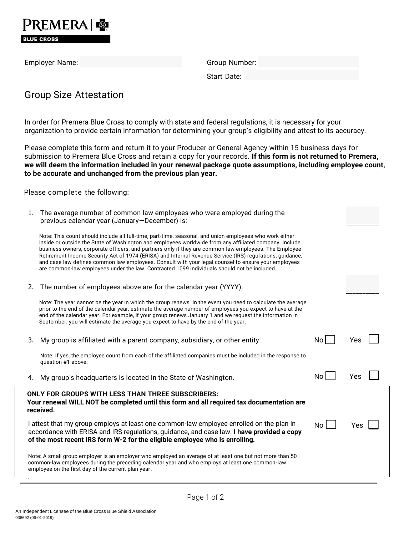

Employer Name: Group Number: Group Number:

Start Date:

## Group Size Attestation

In order for Premera Blue Cross to comply with state and federal regulations, it is necessary for your organization to provide certain information for determining your group's eligibility and attest to its accuracy.

Please complete this form and return it to your Producer or General Agency within 15 business days for submission to Premera Blue Cross and retain a copy for your records. **If this form is not returned to Premera, we will deem the information included in your renewal package quote assumptions, including employee count, to be accurate and unchanged from the previous plan year.**

Please complete the following:

| 1.                                                                                                                                                                                                                                                                  | The average number of common law employees who were employed during the<br>previous calendar year (January-December) is:                                                                                                                                                                                                                                                                                                                                                                                                                                                                                                                     |     |     |
|---------------------------------------------------------------------------------------------------------------------------------------------------------------------------------------------------------------------------------------------------------------------|----------------------------------------------------------------------------------------------------------------------------------------------------------------------------------------------------------------------------------------------------------------------------------------------------------------------------------------------------------------------------------------------------------------------------------------------------------------------------------------------------------------------------------------------------------------------------------------------------------------------------------------------|-----|-----|
|                                                                                                                                                                                                                                                                     | Note: This count should include all full-time, part-time, seasonal, and union employees who work either<br>inside or outside the State of Washington and employees worldwide from any affiliated company. Include<br>business owners, corporate officers, and partners only if they are common-law employees. The Employee<br>Retirement Income Security Act of 1974 (ERISA) and Internal Revenue Service (IRS) regulations, guidance,<br>and case law defines common law employees. Consult with your legal counsel to ensure your employees<br>are common-law employees under the law. Contracted 1099 individuals should not be included. |     |     |
| 2.                                                                                                                                                                                                                                                                  | The number of employees above are for the calendar year (YYYY):                                                                                                                                                                                                                                                                                                                                                                                                                                                                                                                                                                              |     |     |
|                                                                                                                                                                                                                                                                     | Note: The year cannot be the year in which the group renews. In the event you need to calculate the average<br>prior to the end of the calendar year, estimate the average number of employees you expect to have at the<br>end of the calendar year. For example, if your group renews January 1 and we request the information in<br>September, you will estimate the average you expect to have by the end of the year.                                                                                                                                                                                                                   |     |     |
| 3.                                                                                                                                                                                                                                                                  | My group is affiliated with a parent company, subsidiary, or other entity.                                                                                                                                                                                                                                                                                                                                                                                                                                                                                                                                                                   | No  | Yes |
|                                                                                                                                                                                                                                                                     | Note: If yes, the employee count from each of the affiliated companies must be included in the response to<br>question #1 above.                                                                                                                                                                                                                                                                                                                                                                                                                                                                                                             |     |     |
| 4.                                                                                                                                                                                                                                                                  | My group's headquarters is located in the State of Washington.                                                                                                                                                                                                                                                                                                                                                                                                                                                                                                                                                                               | No  | Yes |
| <b>ONLY FOR GROUPS WITH LESS THAN THREE SUBSCRIBERS:</b><br>Your renewal WILL NOT be completed until this form and all required tax documentation are<br>received.                                                                                                  |                                                                                                                                                                                                                                                                                                                                                                                                                                                                                                                                                                                                                                              |     |     |
| I attest that my group employs at least one common-law employee enrolled on the plan in<br>accordance with ERISA and IRS regulations, guidance, and case law. I have provided a copy<br>of the most recent IRS form W-2 for the eligible employee who is enrolling. |                                                                                                                                                                                                                                                                                                                                                                                                                                                                                                                                                                                                                                              | No. | Yes |
| Note: A small group employer is an employer who employed an average of at least one but not more than 50<br>common-law employees during the preceding calendar year and who employs at least one common-law<br>employee on the first day of the current plan year.  |                                                                                                                                                                                                                                                                                                                                                                                                                                                                                                                                                                                                                                              |     |     |